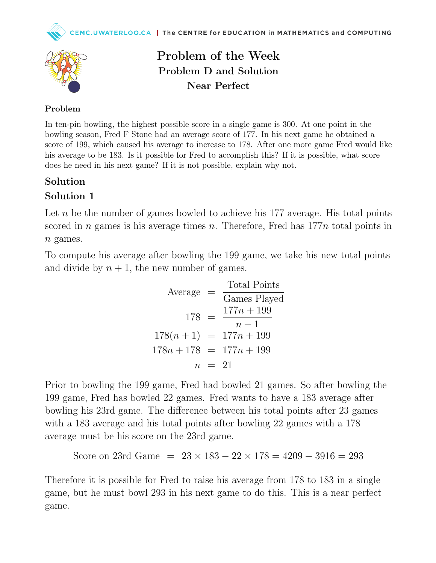



Problem of the Week Problem D and Solution Near Perfect

## Problem

In ten-pin bowling, the highest possible score in a single game is 300. At one point in the bowling season, Fred F Stone had an average score of 177. In his next game he obtained a score of 199, which caused his average to increase to 178. After one more game Fred would like his average to be 183. Is it possible for Fred to accomplish this? If it is possible, what score does he need in his next game? If it is not possible, explain why not.

## Solution

## Solution 1

Let n be the number of games bowled to achieve his 177 average. His total points scored in *n* games is his average times *n*. Therefore, Fred has  $177n$  total points in  $n$  games.

To compute his average after bowling the 199 game, we take his new total points and divide by  $n + 1$ , the new number of games.

| Average |          | Total Points              |  |
|---------|----------|---------------------------|--|
|         |          | Games Played              |  |
| $178 =$ |          | $177n + 199$              |  |
|         |          | $n+1$                     |  |
|         |          | $178(n+1) = 177n + 199$   |  |
|         |          | $178n + 178 = 177n + 199$ |  |
|         | $n = 21$ |                           |  |

Prior to bowling the 199 game, Fred had bowled 21 games. So after bowling the 199 game, Fred has bowled 22 games. Fred wants to have a 183 average after bowling his 23rd game. The difference between his total points after 23 games with a 183 average and his total points after bowling 22 games with a 178 average must be his score on the 23rd game.

```
Score on 23rd Game = 23 \times 183 - 22 \times 178 = 4209 - 3916 = 293
```
Therefore it is possible for Fred to raise his average from 178 to 183 in a single game, but he must bowl 293 in his next game to do this. This is a near perfect game.